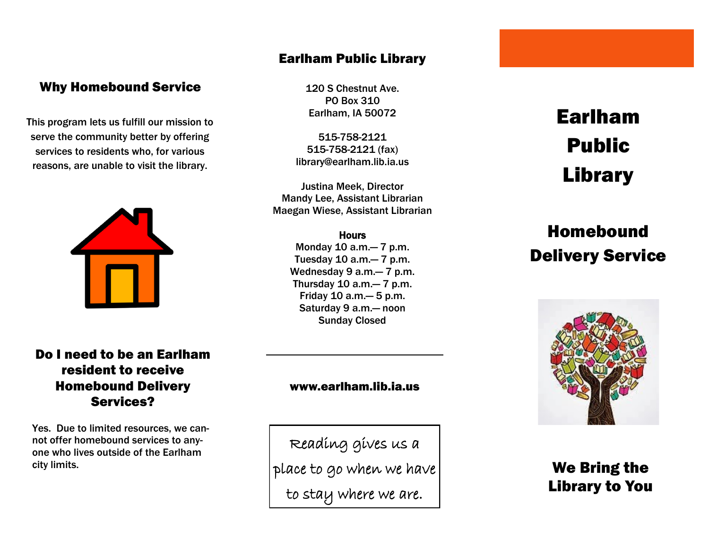#### Why Homebound Service

This program lets us fulfill our mission to serve the community better by offering services to residents who, for various reasons, are unable to visit the library.



#### Do I need to be an Earlham resident to receive Homebound Delivery Services?

Yes. Due to limited resources, we cannot offer homebound services to anyone who lives outside of the Earlham city limits.

#### Earlham Public Library

120 S Chestnut Ave. PO Box 310 Earlham, IA 50072

515-758-2121 515-758-2121 (fax) library@earlham.lib.ia.us

Justina Meek, Director Mandy Lee, Assistant Librarian Maegan Wiese, Assistant Librarian

#### **Hours**

Monday 10 a.m.— 7 p.m. Tuesday 10 a.m.— 7 p.m. Wednesday 9 a.m.— 7 p.m. Thursday 10 a.m.— 7 p.m. Friday 10 a.m.— 5 p.m. Saturday 9 a.m.— noon Sunday Closed

# Earlham Public Library

## Homebound Delivery Service



## We Bring the Library to You

#### www.earlham.lib.ia.us

Reading gives us a place to go when we have to stay where we are.